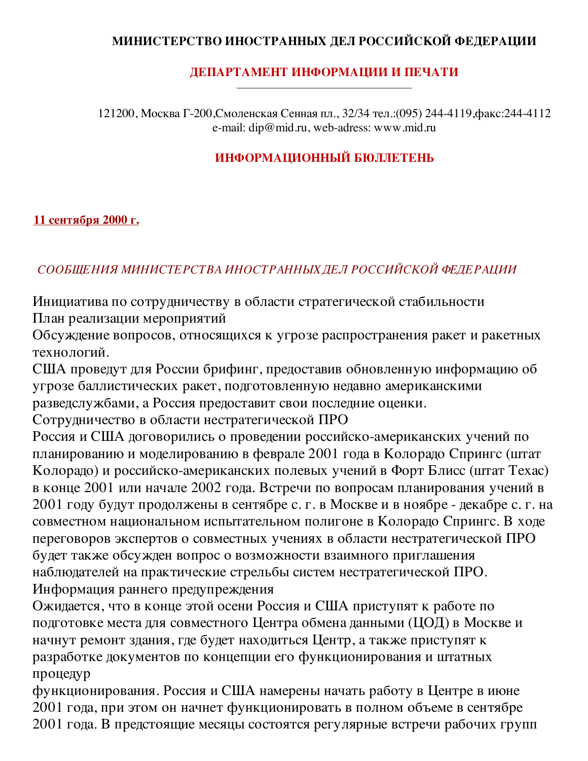## МИНИСТЕРСТВО ИНОСТРАННЫХ ДЕЛ РОССИЙСКОЙ ФЕДЕРАЦИИ

### ДЕПАРТАМЕНТ ИНФОРМАЦИИ И ПЕЧАТИ

121200, Москва Г-200, Смоленская Сенная пл., 32/34 тел.: (095) 244-4119, факс: 244-4112 e-mail: dip@mid.ru, web-adress: www.mid.ru

# ИНФОРМАЦИОННЫЙ БЮЛЛЕТЕНЬ

#### 11 сентября 2000 г.

## СООБЩЕНИЯ МИНИСТЕРСТВА ИНОСТРАННЫХ ДЕЛ РОССИЙСКОЙ ФЕДЕРАЦИИ

Инициатива по сотрудничеству в области стратегической стабильности План реализации мероприятий

Обсуждение вопросов, относящихся к угрозе распространения ракет и ракетных технологий.

США проведут для России брифинг, предоставив обновленную информацию об угрозе баллистических ракет, подготовленную недавно американскими разведслужбами, а Россия предоставит свои последние оценки.

Сотрудничество в области нестратегической ПРО

Россия и США договорились о проведении российско-американских учений по планированию и моделированию в феврале 2001 года в Колорадо Спрингс (штат Колорадо) и российско-американских полевых учений в Форт Блисс (штат Техас) в конце 2001 или начале 2002 года. Встречи по вопросам планирования учений в 2001 году будут продолжены в сентябре с. г. в Москве и в ноябре - декабре с. г. на совместном национальном испытательном полигоне в Колорадо Спрингс. В ходе переговоров экспертов о совместных учениях в области нестратегической ПРО будет также обсужден вопрос о возможности взаимного приглашения наблюдателей на практические стрельбы систем нестратегической ПРО. Информация раннего предупреждения

Ожидается, что в конце этой осени Россия и США приступят к работе по подготовке места для совместного Центра обмена данными (ЦОД) в Москве и начнут ремонт здания, где будет находиться Центр, а также приступят к разработке документов по концепции его функционирования и штатных процедур

функционирования. Россия и США намерены начать работу в Центре в июне 2001 года, при этом он начнет функционировать в полном объеме в сентябре 2001 года. В предстоящие месяцы состоятся регулярные встречи рабочих групп